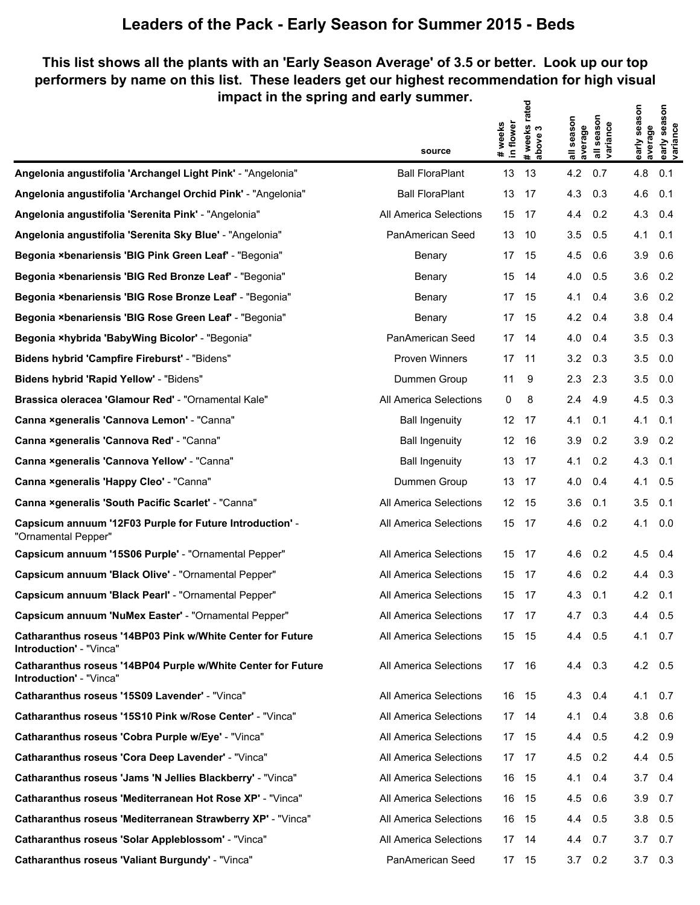### **This list shows all the plants with an 'Early Season Average' of 3.5 or better. Look up our top performers by name on this list. These leaders get our highest recommendation for high visual impact in the spring and early summer.** ਰ੍ਰ  $\epsilon$

|                                                                                         | source                 | # weeks<br>in flower | rated<br>#weeks r<br> above 3 | all season<br>average | all season<br>variance | early season<br>average | early season<br>variance |
|-----------------------------------------------------------------------------------------|------------------------|----------------------|-------------------------------|-----------------------|------------------------|-------------------------|--------------------------|
| Angelonia angustifolia 'Archangel Light Pink' - "Angelonia"                             | <b>Ball FloraPlant</b> | 13                   | 13                            | 4.2                   | 0.7                    | 4.8                     | 0.1                      |
| Angelonia angustifolia 'Archangel Orchid Pink' - "Angelonia"                            | <b>Ball FloraPlant</b> | 13                   | 17                            | 4.3                   | 0.3                    | 4.6                     | 0.1                      |
| Angelonia angustifolia 'Serenita Pink' - "Angelonia"                                    | All America Selections | 15                   | 17                            | 4.4                   | 0.2                    | 4.3                     | 0.4                      |
| Angelonia angustifolia 'Serenita Sky Blue' - "Angelonia"                                | PanAmerican Seed       | 13                   | 10                            | 3.5                   | 0.5                    | 4.1                     | 0.1                      |
| Begonia ×benariensis 'BIG Pink Green Leaf' - "Begonia"                                  | Benary                 | 17                   | 15                            | 4.5                   | 0.6                    | 3.9                     | 0.6                      |
| Begonia ×benariensis 'BIG Red Bronze Leaf' - "Begonia"                                  | Benary                 | 15                   | 14                            | 4.0                   | 0.5                    | $3.6$ 0.2               |                          |
| Begonia ×benariensis 'BIG Rose Bronze Leaf' - "Begonia"                                 | Benary                 | 17                   | 15                            | 4.1                   | 0.4                    | 3.6                     | 0.2                      |
| Begonia ×benariensis 'BIG Rose Green Leaf' - "Begonia"                                  | Benary                 | 17                   | 15                            | 4.2                   | 0.4                    | 3.8                     | 0.4                      |
| Begonia ×hybrida 'BabyWing Bicolor' - "Begonia"                                         | PanAmerican Seed       | 17                   | -14                           | 4.0                   | 0.4                    | 3.5                     | 0.3                      |
| Bidens hybrid 'Campfire Fireburst' - "Bidens"                                           | Proven Winners         | 17                   | - 11                          | 3.2                   | 0.3                    | 3.5                     | 0.0                      |
| Bidens hybrid 'Rapid Yellow' - "Bidens"                                                 | Dummen Group           | 11                   | 9                             | 2.3                   | 2.3                    | 3.5                     | 0.0                      |
| Brassica oleracea 'Glamour Red' - "Ornamental Kale"                                     | All America Selections | 0                    | 8                             | 2.4                   | 4.9                    | $4.5$ 0.3               |                          |
| Canna xgeneralis 'Cannova Lemon' - "Canna"                                              | <b>Ball Ingenuity</b>  | 12 <sup>°</sup>      | 17                            | 4.1                   | 0.1                    | 4.1                     | 0.1                      |
| Canna ×generalis 'Cannova Red' - "Canna"                                                | <b>Ball Ingenuity</b>  | 12 <sup>°</sup>      | 16                            | 3.9                   | 0.2                    | 3.9                     | 0.2                      |
| Canna xgeneralis 'Cannova Yellow' - "Canna"                                             | <b>Ball Ingenuity</b>  | 13                   | 17                            | 4.1                   | 0.2                    | 4.3                     | 0.1                      |
| Canna xgeneralis 'Happy Cleo' - "Canna"                                                 | Dummen Group           | 13                   | - 17                          | 4.0                   | 0.4                    | 4.1                     | 0.5                      |
| Canna ×generalis 'South Pacific Scarlet' - "Canna"                                      | All America Selections | 12                   | 15                            | 3.6                   | 0.1                    | 3.5                     | 0.1                      |
| Capsicum annuum '12F03 Purple for Future Introduction' -<br>"Ornamental Pepper"         | All America Selections |                      | 15 17                         | 4.6                   | 0.2                    | 4.1                     | 0.0                      |
| Capsicum annuum '15S06 Purple' - "Ornamental Pepper"                                    | All America Selections | 15                   | 17                            | 4.6                   | 0.2                    | 4.5                     | 0.4                      |
| Capsicum annuum 'Black Olive' - "Ornamental Pepper"                                     | All America Selections | 15                   | -17                           | 4.6                   | 0.2                    | 4.4                     | 0.3                      |
| Capsicum annuum 'Black Pearl' - "Ornamental Pepper"                                     | All America Selections | 15                   | 17                            | 4.3                   | 0.1                    | 4.2                     | 0.1                      |
| Capsicum annuum 'NuMex Easter' - "Ornamental Pepper"                                    | All America Selections | 17                   | 17                            | 4.7                   | 0.3                    | 4.4                     | 0.5                      |
| Catharanthus roseus '14BP03 Pink w/White Center for Future<br>Introduction' - "Vinca"   | All America Selections |                      | 15 15                         | 4.4                   | 0.5                    | 4.1 0.7                 |                          |
| Catharanthus roseus '14BP04 Purple w/White Center for Future<br>Introduction' - "Vinca" | All America Selections |                      | 17 16                         | 4.4 0.3               |                        | 4.2 0.5                 |                          |
| Catharanthus roseus '15S09 Lavender' - "Vinca"                                          | All America Selections |                      | 16 15                         | 4.3 0.4               |                        | 4.1 0.7                 |                          |
| Catharanthus roseus '15S10 Pink w/Rose Center' - "Vinca"                                | All America Selections | 17                   | - 14                          | 4.1                   | 0.4                    | $3.8\quad 0.6$          |                          |
| Catharanthus roseus 'Cobra Purple w/Eye' - "Vinca"                                      | All America Selections |                      | 17 15                         | 4.4                   | 0.5                    | 4.2 0.9                 |                          |
| Catharanthus roseus 'Cora Deep Lavender' - "Vinca"                                      | All America Selections | 17                   | - 17                          | 4.5                   | 0.2                    | 4.4 0.5                 |                          |
| Catharanthus roseus 'Jams 'N Jellies Blackberry' - "Vinca"                              | All America Selections | 16                   | - 15                          | 4.1                   | 0.4                    | $3.7\quad 0.4$          |                          |
| Catharanthus roseus 'Mediterranean Hot Rose XP' - "Vinca"                               | All America Selections | 16                   | - 15                          | 4.5                   | 0.6                    | $3.9$ 0.7               |                          |
| Catharanthus roseus 'Mediterranean Strawberry XP' - "Vinca"                             | All America Selections | 16                   | - 15                          | 4.4                   | 0.5                    | $3.8$ 0.5               |                          |
| Catharanthus roseus 'Solar Appleblossom' - "Vinca"                                      | All America Selections | 17                   | -14                           | 4.4                   | 0.7                    | 3.7                     | 0.7                      |
| Catharanthus roseus 'Valiant Burgundy' - "Vinca"                                        | PanAmerican Seed       |                      | 17 15                         | $3.7\quad 0.2$        |                        | $3.7 \quad 0.3$         |                          |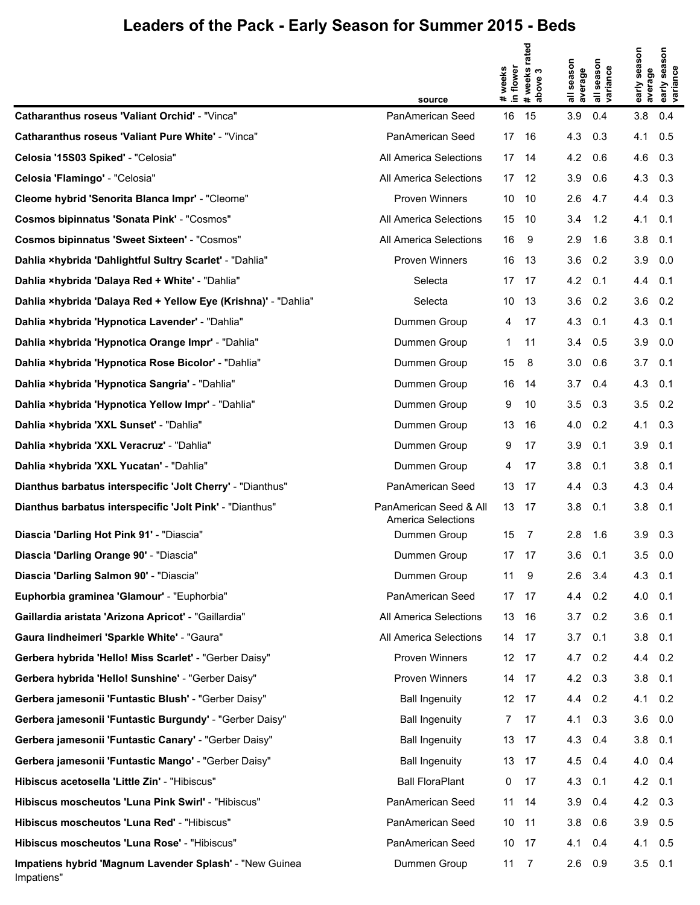|                                                                       | source                                              | # weeks<br>in flower | # weeks rated<br>above 3 | season<br>average<br>ᄛ | season<br>variance<br>᠊ᢛ | early season<br>average | son<br>sea<br>early sea<br>variance |
|-----------------------------------------------------------------------|-----------------------------------------------------|----------------------|--------------------------|------------------------|--------------------------|-------------------------|-------------------------------------|
| <b>Catharanthus roseus 'Valiant Orchid' - "Vinca"</b>                 | PanAmerican Seed                                    | 16                   | 15                       | 3.9                    | 0.4                      | 3.8                     | 0.4                                 |
| <b>Catharanthus roseus 'Valiant Pure White' - "Vinca"</b>             | PanAmerican Seed                                    | 17                   | -16                      | 4.3                    | 0.3                      | 4.1                     | 0.5                                 |
| Celosia '15S03 Spiked' - "Celosia"                                    | All America Selections                              | 17                   | -14                      | 4.2                    | 0.6                      | $4.6$ 0.3               |                                     |
| Celosia 'Flamingo' - "Celosia"                                        | All America Selections                              |                      | 17 12                    | 3.9                    | 0.6                      | 4.3 0.3                 |                                     |
| Cleome hybrid 'Senorita Blanca Impr' - "Cleome"                       | <b>Proven Winners</b>                               | 10                   | - 10                     | 2.6                    | 4.7                      | 4.4 0.3                 |                                     |
| <b>Cosmos bipinnatus 'Sonata Pink' - "Cosmos"</b>                     | All America Selections                              | 15                   | -10                      | 3.4                    | 1.2                      | 4.1                     | 0.1                                 |
| <b>Cosmos bipinnatus 'Sweet Sixteen' - "Cosmos"</b>                   | All America Selections                              | 16                   | 9                        | 2.9                    | 1.6                      | $3.8$ 0.1               |                                     |
| Dahlia ×hybrida 'Dahlightful Sultry Scarlet' - "Dahlia"               | <b>Proven Winners</b>                               | 16                   | -13                      | 3.6                    | 0.2                      | $3.9\quad 0.0$          |                                     |
| Dahlia ×hybrida 'Dalaya Red + White' - "Dahlia"                       | Selecta                                             | 17                   | - 17                     | 4.2                    | 0.1                      | 4.4 0.1                 |                                     |
| Dahlia ×hybrida 'Dalaya Red + Yellow Eye (Krishna)' - "Dahlia"        | Selecta                                             | 10                   | -13                      | 3.6                    | 0.2                      | $3.6$ 0.2               |                                     |
| Dahlia ×hybrida 'Hypnotica Lavender' - "Dahlia"                       | Dummen Group                                        | 4                    | 17                       | 4.3                    | 0.1                      | $4.3$ 0.1               |                                     |
| Dahlia ×hybrida 'Hypnotica Orange Impr' - "Dahlia"                    | Dummen Group                                        | $\mathbf 1$          | 11                       | 3.4                    | 0.5                      | $3.9\quad 0.0$          |                                     |
| Dahlia ×hybrida 'Hypnotica Rose Bicolor' - "Dahlia"                   | Dummen Group                                        | 15                   | 8                        | 3.0                    | 0.6                      | $3.7\quad 0.1$          |                                     |
| Dahlia ×hybrida 'Hypnotica Sangria' - "Dahlia"                        | Dummen Group                                        | 16                   | 14                       | 3.7                    | 0.4                      | $4.3$ 0.1               |                                     |
| Dahlia ×hybrida 'Hypnotica Yellow Impr' - "Dahlia"                    | Dummen Group                                        | 9                    | 10                       | 3.5                    | 0.3                      | $3.5 \quad 0.2$         |                                     |
| Dahlia ×hybrida 'XXL Sunset' - "Dahlia"                               | Dummen Group                                        | 13                   | -16                      | 4.0                    | 0.2                      | 4.1                     | 0.3                                 |
| Dahlia ×hybrida 'XXL Veracruz' - "Dahlia"                             | Dummen Group                                        | 9                    | 17                       | 3.9                    | 0.1                      | $3.9$ 0.1               |                                     |
| Dahlia ×hybrida 'XXL Yucatan' - "Dahlia"                              | Dummen Group                                        | 4                    | 17                       | 3.8                    | 0.1                      | $3.8$ 0.1               |                                     |
| Dianthus barbatus interspecific 'Jolt Cherry' - "Dianthus"            | PanAmerican Seed                                    | 13                   | - 17                     | 4.4                    | 0.3                      | 4.3 0.4                 |                                     |
| Dianthus barbatus interspecific 'Jolt Pink' - "Dianthus"              | PanAmerican Seed & All<br><b>America Selections</b> | 13 17                |                          | 3.8                    | 0.1                      | 3.8                     | 0.1                                 |
| Diascia 'Darling Hot Pink 91' - "Diascia"                             | Dummen Group                                        | 15                   | 7                        | 2.8                    | 1.6                      | $3.9$ $0.3$             |                                     |
| Diascia 'Darling Orange 90' - "Diascia"                               | Dummen Group                                        |                      | 17 17                    | 3.6                    | 0.1                      | $3.5\quad 0.0$          |                                     |
| Diascia 'Darling Salmon 90' - "Diascia"                               | Dummen Group                                        | 11 9                 |                          | 2.6                    | 3.4                      | 4.3 0.1                 |                                     |
| Euphorbia graminea 'Glamour' - "Euphorbia"                            | PanAmerican Seed                                    | 17 17                |                          | 4.4                    | 0.2                      | 4.0 0.1                 |                                     |
| Gaillardia aristata 'Arizona Apricot' - "Gaillardia"                  | All America Selections                              | 13 16                |                          | $3.7\quad 0.2$         |                          | $3.6$ 0.1               |                                     |
| Gaura lindheimeri 'Sparkle White' - "Gaura"                           | All America Selections                              |                      | 14 17                    | 3.7                    | 0.1                      | $3.8$ 0.1               |                                     |
| Gerbera hybrida 'Hello! Miss Scarlet' - "Gerber Daisy"                | Proven Winners                                      |                      | 12 17                    | 4.7 0.2                |                          | 4.4 0.2                 |                                     |
| Gerbera hybrida 'Hello! Sunshine' - "Gerber Daisy"                    | Proven Winners                                      |                      | 14 17                    | 4.2                    | 0.3                      | $3.8$ $0.1$             |                                     |
| Gerbera jamesonii 'Funtastic Blush' - "Gerber Daisy"                  | <b>Ball Ingenuity</b>                               |                      | 12 17                    | 4.4 0.2                |                          | $4.1 \quad 0.2$         |                                     |
| Gerbera jamesonii 'Funtastic Burgundy' - "Gerber Daisy"               | <b>Ball Ingenuity</b>                               | 7                    | 17                       | 4.1                    | 0.3                      | $3.6\quad 0.0$          |                                     |
| Gerbera jamesonii 'Funtastic Canary' - "Gerber Daisy"                 | <b>Ball Ingenuity</b>                               |                      | 13 17                    | 4.3                    | 0.4                      | $3.8$ 0.1               |                                     |
| Gerbera jamesonii 'Funtastic Mango' - "Gerber Daisy"                  | <b>Ball Ingenuity</b>                               |                      | 13 17                    | 4.5                    | 0.4                      | 4.0 0.4                 |                                     |
| Hibiscus acetosella 'Little Zin' - "Hibiscus"                         | <b>Ball FloraPlant</b>                              | 0                    | -17                      | 4.3                    | 0.1                      | $4.2 \quad 0.1$         |                                     |
| Hibiscus moscheutos 'Luna Pink Swirl' - "Hibiscus"                    | PanAmerican Seed                                    | 11                   | -14                      | 3.9                    | 0.4                      | 4.2 0.3                 |                                     |
| Hibiscus moscheutos 'Luna Red' - "Hibiscus"                           | PanAmerican Seed                                    | 10 11                |                          | 3.8                    | 0.6                      | $3.9$ 0.5               |                                     |
| Hibiscus moscheutos 'Luna Rose' - "Hibiscus"                          | PanAmerican Seed                                    | 10 17                |                          | 4.1                    | 0.4                      | 4.1 0.5                 |                                     |
| Impatiens hybrid 'Magnum Lavender Splash' - "New Guinea<br>Impatiens" | Dummen Group                                        | 11                   | $\overline{7}$           | 2.6                    | 0.9                      | $3.5$ 0.1               |                                     |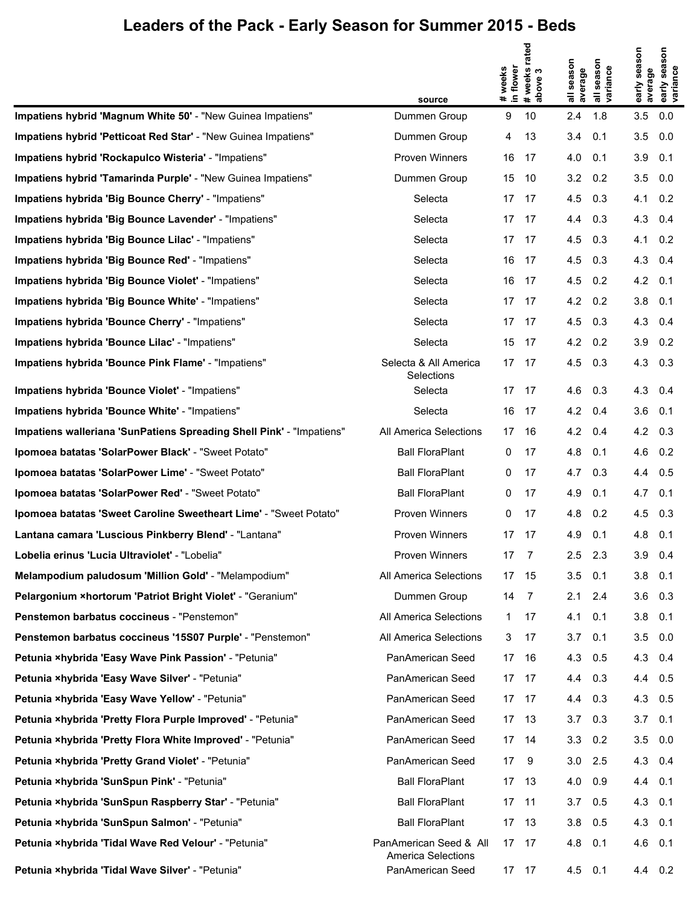|                                                                      |                                                     |                      | rated              |                       |                                  |                         | son                          |
|----------------------------------------------------------------------|-----------------------------------------------------|----------------------|--------------------|-----------------------|----------------------------------|-------------------------|------------------------------|
|                                                                      |                                                     | # weeks<br>in flower | # weeks<br>above 3 | all season<br>average | season<br>all seasor<br>variance | early season<br>average | sea<br>early sea<br>variance |
|                                                                      | source                                              |                      |                    |                       |                                  |                         |                              |
| Impatiens hybrid 'Magnum White 50' - "New Guinea Impatiens"          | Dummen Group                                        | 9                    | 10                 | 2.4                   | 1.8                              | 3.5                     | 0.0                          |
| Impatiens hybrid 'Petticoat Red Star' - "New Guinea Impatiens"       | Dummen Group                                        | 4                    | 13                 | 3.4                   | 0.1                              | 3.5                     | 0.0                          |
| Impatiens hybrid 'Rockapulco Wisteria' - "Impatiens"                 | Proven Winners                                      | 16                   | -17                | 4.0                   | 0.1                              | $3.9$ 0.1               |                              |
| Impatiens hybrid 'Tamarinda Purple' - "New Guinea Impatiens"         | Dummen Group                                        | 15                   | 10                 | 3.2                   | 0.2                              | $3.5\quad 0.0$          |                              |
| Impatiens hybrida 'Big Bounce Cherry' - "Impatiens"                  | Selecta                                             | 17                   | 17                 | 4.5                   | 0.3                              | 4.1 0.2                 |                              |
| Impatiens hybrida 'Big Bounce Lavender' - "Impatiens"                | Selecta                                             | 17                   | 17                 | 4.4                   | 0.3                              | 4.3 0.4                 |                              |
| Impatiens hybrida 'Big Bounce Lilac' - "Impatiens"                   | Selecta                                             | 17                   | 17                 | 4.5                   | 0.3                              | $4.1 \quad 0.2$         |                              |
| Impatiens hybrida 'Big Bounce Red' - "Impatiens"                     | Selecta                                             | 16                   | 17                 | 4.5                   | 0.3                              | 4.3 0.4                 |                              |
| Impatiens hybrida 'Big Bounce Violet' - "Impatiens"                  | Selecta                                             | 16                   | -17                | 4.5                   | 0.2                              | $4.2 \quad 0.1$         |                              |
| Impatiens hybrida 'Big Bounce White' - "Impatiens"                   | Selecta                                             | 17                   | 17                 | 4.2                   | 0.2                              | $3.8$ 0.1               |                              |
| Impatiens hybrida 'Bounce Cherry' - "Impatiens"                      | Selecta                                             | 17                   | 17                 | 4.5                   | 0.3                              | 4.3 0.4                 |                              |
| Impatiens hybrida 'Bounce Lilac' - "Impatiens"                       | Selecta                                             | 15                   | 17                 | 4.2                   | 0.2                              | $3.9$ $0.2$             |                              |
| Impatiens hybrida 'Bounce Pink Flame' - "Impatiens"                  | Selecta & All America<br>Selections                 | 17                   | -17                | 4.5                   | 0.3                              | 4.3 0.3                 |                              |
| Impatiens hybrida 'Bounce Violet' - "Impatiens"                      | Selecta                                             | 17                   | 17                 | 4.6                   | 0.3                              | 4.3 0.4                 |                              |
| Impatiens hybrida 'Bounce White' - "Impatiens"                       | Selecta                                             | 16                   | 17                 | 4.2                   | 0.4                              | $3.6$ 0.1               |                              |
| Impatiens walleriana 'SunPatiens Spreading Shell Pink' - "Impatiens" | All America Selections                              | 17                   | 16                 | 4.2                   | 0.4                              | 4.2 0.3                 |                              |
| Ipomoea batatas 'SolarPower Black' - "Sweet Potato"                  | <b>Ball FloraPlant</b>                              | 0                    | 17                 | 4.8                   | 0.1                              | 4.6 0.2                 |                              |
| Ipomoea batatas 'SolarPower Lime' - "Sweet Potato"                   | <b>Ball FloraPlant</b>                              | 0                    | 17                 | 4.7                   | 0.3                              | 4.4 0.5                 |                              |
| Ipomoea batatas 'SolarPower Red' - "Sweet Potato"                    | <b>Ball FloraPlant</b>                              | 0                    | 17                 | 4.9                   | 0.1                              | 4.7                     | 0.1                          |
| Ipomoea batatas 'Sweet Caroline Sweetheart Lime' - "Sweet Potato"    | Proven Winners                                      | 0                    | 17                 | 4.8                   | 0.2                              | $4.5$ 0.3               |                              |
| Lantana camara 'Luscious Pinkberry Blend' - "Lantana"                | Proven Winners                                      | 17                   | 17                 | 4.9                   | 0.1                              | 4.8                     | 0.1                          |
| Lobelia erinus 'Lucia Ultraviolet' - "Lobelia"                       | Proven Winners                                      | 17                   | $\overline{7}$     | 2.5                   | 2.3                              | 3.9                     | 0.4                          |
| Melampodium paludosum 'Million Gold' - "Melampodium"                 | All America Selections                              | 17                   | 15                 | 3.5                   | 0.1                              | $3.8$ 0.1               |                              |
| Pelargonium × hortorum 'Patriot Bright Violet' - "Geranium"          | Dummen Group                                        | 14                   | 7                  | 2.1                   | 2.4                              | $3.6$ $0.3$             |                              |
| Penstemon barbatus coccineus - "Penstemon"                           | All America Selections                              | 1.                   | 17                 | 4.1                   | 0.1                              | $3.8$ 0.1               |                              |
| Penstemon barbatus coccineus '15S07 Purple' - "Penstemon"            | All America Selections                              | 3                    | 17                 | 3.7                   | 0.1                              | $3.5\quad 0.0$          |                              |
| Petunia ×hybrida 'Easy Wave Pink Passion' - "Petunia"                | PanAmerican Seed                                    | 17                   | -16                | 4.3                   | 0.5                              | 4.3 0.4                 |                              |
| Petunia ×hybrida 'Easy Wave Silver' - "Petunia"                      | PanAmerican Seed                                    | 17                   | -17                | 4.4                   | 0.3                              | 4.4 0.5                 |                              |
| Petunia ×hybrida 'Easy Wave Yellow' - "Petunia"                      | PanAmerican Seed                                    | 17                   | - 17               | 4.4                   | 0.3                              | 4.3 0.5                 |                              |
| Petunia ×hybrida 'Pretty Flora Purple Improved' - "Petunia"          | PanAmerican Seed                                    | 17                   | - 13               | 3.7                   | 0.3                              | $3.7 \quad 0.1$         |                              |
| Petunia ×hybrida 'Pretty Flora White Improved' - "Petunia"           | PanAmerican Seed                                    | 17 14                |                    | 3.3                   | 0.2                              | $3.5\quad 0.0$          |                              |
| Petunia ×hybrida 'Pretty Grand Violet' - "Petunia"                   | PanAmerican Seed                                    | 17                   | 9                  | 3.0                   | 2.5                              | 4.3 0.4                 |                              |
| Petunia ×hybrida 'SunSpun Pink' - "Petunia"                          | <b>Ball FloraPlant</b>                              | 17                   | -13                | 4.0                   | 0.9                              | 4.4 0.1                 |                              |
| Petunia ×hybrida 'SunSpun Raspberry Star' - "Petunia"                | <b>Ball FloraPlant</b>                              | 17                   | 11                 | 3.7                   | 0.5                              | 4.3 0.1                 |                              |
| Petunia ×hybrida 'SunSpun Salmon' - "Petunia"                        | <b>Ball FloraPlant</b>                              | 17                   | -13                | 3.8                   | 0.5                              | 4.3 0.1                 |                              |
| Petunia ×hybrida 'Tidal Wave Red Velour' - "Petunia"                 | PanAmerican Seed & All<br><b>America Selections</b> | 17 17                |                    | 4.8                   | 0.1                              | 4.6 0.1                 |                              |
| Petunia ×hybrida 'Tidal Wave Silver' - "Petunia"                     | PanAmerican Seed                                    | 17 17                |                    | 4.5                   | 0.1                              | 4.4 0.2                 |                              |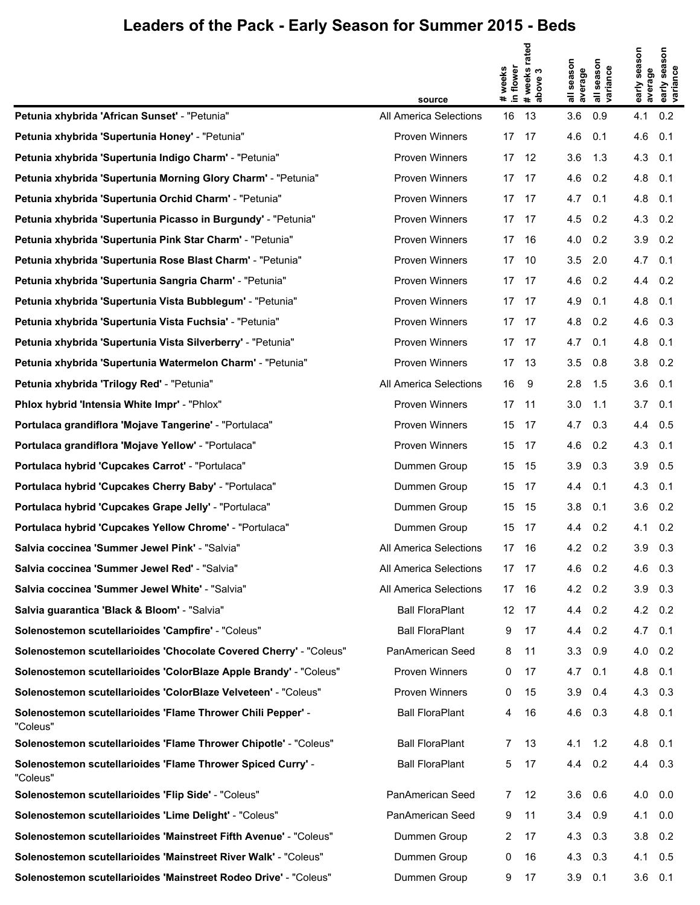|                                                                         | source                 | # weeks<br>in flower | rated<br># weeks i<br>above 3 | all season<br>average | season<br>all seaso<br>variance | early season<br>average | Son<br>sea<br>early sea:<br>variance |
|-------------------------------------------------------------------------|------------------------|----------------------|-------------------------------|-----------------------|---------------------------------|-------------------------|--------------------------------------|
| Petunia xhybrida 'African Sunset' - "Petunia"                           | All America Selections | 16                   | 13                            | 3.6                   | 0.9                             | 4.1                     | 0.2                                  |
| Petunia xhybrida 'Supertunia Honey' - "Petunia"                         | Proven Winners         | 17                   | -17                           | 4.6                   | 0.1                             | 4.6                     | 0.1                                  |
| Petunia xhybrida 'Supertunia Indigo Charm' - "Petunia"                  | <b>Proven Winners</b>  |                      | 17 12                         | 3.6                   | 1.3                             | 4.3 0.1                 |                                      |
| Petunia xhybrida 'Supertunia Morning Glory Charm' - "Petunia"           | Proven Winners         | 17                   | 17                            | 4.6                   | 0.2                             | 4.8 0.1                 |                                      |
| Petunia xhybrida 'Supertunia Orchid Charm' - "Petunia"                  | Proven Winners         |                      | 17 17                         | 4.7                   | 0.1                             | 4.8 0.1                 |                                      |
| Petunia xhybrida 'Supertunia Picasso in Burgundy' - "Petunia"           | Proven Winners         | 17                   | 17                            | 4.5                   | 0.2                             | 4.3 0.2                 |                                      |
| Petunia xhybrida 'Supertunia Pink Star Charm' - "Petunia"               | Proven Winners         | 17                   | - 16                          | 4.0                   | 0.2                             | $3.9$ $0.2$             |                                      |
| Petunia xhybrida 'Supertunia Rose Blast Charm' - "Petunia"              | Proven Winners         | 17                   | 10                            | 3.5                   | 2.0                             | $4.7$ 0.1               |                                      |
| Petunia xhybrida 'Supertunia Sangria Charm' - "Petunia"                 | Proven Winners         |                      | 17 17                         | 4.6                   | 0.2                             | $4.4 \quad 0.2$         |                                      |
| Petunia xhybrida 'Supertunia Vista Bubblegum' - "Petunia"               | Proven Winners         | 17                   | 17                            | 4.9                   | 0.1                             | 4.8 0.1                 |                                      |
| Petunia xhybrida 'Supertunia Vista Fuchsia' - "Petunia"                 | Proven Winners         |                      | 17 17                         | 4.8                   | 0.2                             | 4.6 0.3                 |                                      |
| Petunia xhybrida 'Supertunia Vista Silverberry' - "Petunia"             | Proven Winners         | 17                   | - 17                          | 4.7                   | 0.1                             | 4.8 0.1                 |                                      |
| Petunia xhybrida 'Supertunia Watermelon Charm' - "Petunia"              | Proven Winners         | 17 13                |                               | 3.5                   | 0.8                             | $3.8$ 0.2               |                                      |
| Petunia xhybrida 'Trilogy Red' - "Petunia"                              | All America Selections | 16                   | -9                            | 2.8                   | 1.5                             | $3.6$ 0.1               |                                      |
| Phlox hybrid 'Intensia White Impr' - "Phlox"                            | Proven Winners         | 17                   | - 11                          | 3.0                   | 1.1                             | $3.7\quad 0.1$          |                                      |
| Portulaca grandiflora 'Mojave Tangerine' - "Portulaca"                  | Proven Winners         | 15                   | -17                           | 4.7                   | 0.3                             | 4.4 0.5                 |                                      |
| Portulaca grandiflora 'Mojave Yellow' - "Portulaca"                     | Proven Winners         | 15                   | -17                           | 4.6                   | 0.2                             | 4.3 0.1                 |                                      |
| Portulaca hybrid 'Cupcakes Carrot' - "Portulaca"                        | Dummen Group           | 15                   | 15                            | 3.9                   | 0.3                             | $3.9$ $0.5$             |                                      |
| Portulaca hybrid 'Cupcakes Cherry Baby' - "Portulaca"                   | Dummen Group           | 15                   | -17                           | 4.4                   | 0.1                             | 4.3 0.1                 |                                      |
| Portulaca hybrid 'Cupcakes Grape Jelly' - "Portulaca"                   | Dummen Group           | 15                   | 15                            | 3.8                   | 0.1                             | $3.6$ $0.2$             |                                      |
| Portulaca hybrid 'Cupcakes Yellow Chrome' - "Portulaca"                 | Dummen Group           | 15                   | - 17                          | 4.4                   | 0.2                             | $4.1 \quad 0.2$         |                                      |
| Salvia coccinea 'Summer Jewel Pink' - "Salvia"                          | All America Selections | 17                   | -16                           | 4.2                   | 0.2                             | 3.9                     | 0.3                                  |
| Salvia coccinea 'Summer Jewel Red' - "Salvia"                           | All America Selections | 17 17                |                               | 4.6                   | 0.2                             | $4.6$ 0.3               |                                      |
| Salvia coccinea 'Summer Jewel White' - "Salvia"                         | All America Selections | 17                   | - 16                          | 4.2                   | 0.2                             | $3.9$ 0.3               |                                      |
| Salvia guarantica 'Black & Bloom' - "Salvia"                            | <b>Ball FloraPlant</b> | 12                   | 17                            | 4.4                   | 0.2                             | 4.2 0.2                 |                                      |
| Solenostemon scutellarioides 'Campfire' - "Coleus"                      | <b>Ball FloraPlant</b> | 9                    | 17                            | 4.4                   | 0.2                             | $4.7$ 0.1               |                                      |
| Solenostemon scutellarioides 'Chocolate Covered Cherry' - "Coleus"      | PanAmerican Seed       | 8                    | 11                            | 3.3                   | 0.9                             | $4.0$ 0.2               |                                      |
| Solenostemon scutellarioides 'ColorBlaze Apple Brandy' - "Coleus"       | Proven Winners         | 0                    | 17                            | 4.7                   | 0.1                             | 4.8 0.1                 |                                      |
| Solenostemon scutellarioides 'ColorBlaze Velveteen' - "Coleus"          | <b>Proven Winners</b>  | 0                    | 15                            | 3.9                   | 0.4                             | 4.3 0.3                 |                                      |
| Solenostemon scutellarioides 'Flame Thrower Chili Pepper' -<br>"Coleus" | <b>Ball FloraPlant</b> | 4                    | 16                            | 4.6                   | 0.3                             | 4.8 0.1                 |                                      |
| Solenostemon scutellarioides 'Flame Thrower Chipotle' - "Coleus"        | <b>Ball FloraPlant</b> | 7                    | 13                            | 4.1                   | 1.2                             | 4.8 0.1                 |                                      |
| Solenostemon scutellarioides 'Flame Thrower Spiced Curry' -<br>"Coleus" | <b>Ball FloraPlant</b> | 5                    | 17                            | 4.4                   | 0.2                             | 4.4 0.3                 |                                      |
| Solenostemon scutellarioides 'Flip Side' - "Coleus"                     | PanAmerican Seed       | $7^{\circ}$          | 12                            | 3.6                   | 0.6                             | $4.0\quad 0.0$          |                                      |
| Solenostemon scutellarioides 'Lime Delight' - "Coleus"                  | PanAmerican Seed       | 9                    | 11                            | 3.4                   | 0.9                             | 4.1                     | 0.0                                  |
| Solenostemon scutellarioides 'Mainstreet Fifth Avenue' - "Coleus"       | Dummen Group           | 2                    | 17                            | 4.3                   | 0.3                             | $3.8$ 0.2               |                                      |
| Solenostemon scutellarioides 'Mainstreet River Walk' - "Coleus"         | Dummen Group           | 0                    | 16                            | 4.3                   | 0.3                             | 4.1                     | 0.5                                  |
| Solenostemon scutellarioides 'Mainstreet Rodeo Drive' - "Coleus"        | Dummen Group           | 9                    | 17                            | 3.9                   | 0.1                             | $3.6$ 0.1               |                                      |